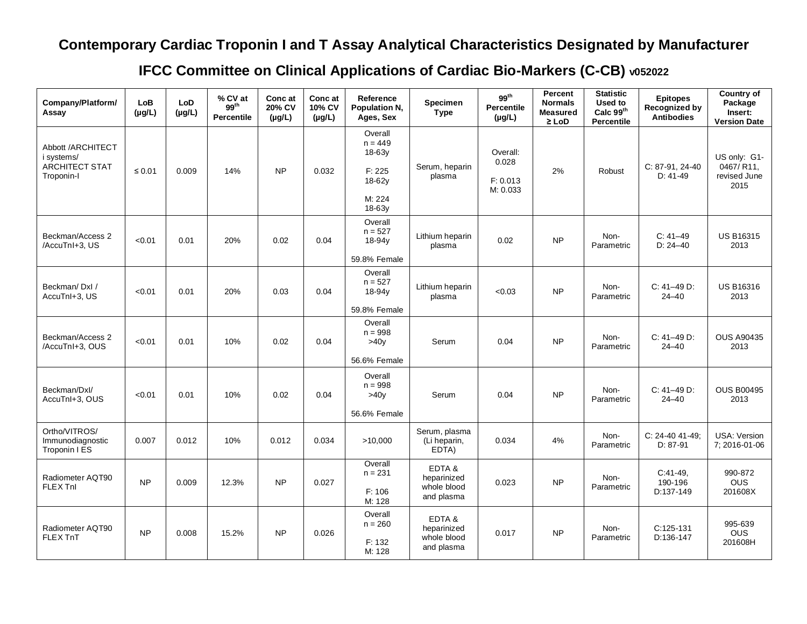## **Contemporary Cardiac Troponin I and T Assay Analytical Characteristics Designated by Manufacturer**

## **IFCC Committee on Clinical Applications of Cardiac Bio-Markers (C-CB) v052022**

| Company/Platform/<br>Assay                                             | LoB<br>$(\mu g/L)$ | <b>LoD</b><br>$(\mu g/L)$ | % CV at<br>99 <sup>th</sup><br><b>Percentile</b> | Conc at<br>20% CV<br>$(\mu g/L)$ | Conc at<br>10% CV<br>$(\mu g/L)$ | Reference<br>Population N.<br>Ages, Sex                                  | <b>Specimen</b><br><b>Type</b>                    | 99 <sup>th</sup><br>Percentile<br>$(\mu g/L)$ | Percent<br><b>Normals</b><br><b>Measured</b><br>$\geq$ LoD | <b>Statistic</b><br>Used to<br>Calc 99th<br>Percentile | <b>Epitopes</b><br>Recognized by<br><b>Antibodies</b> | Country of<br>Package<br>Insert:<br><b>Version Date</b> |
|------------------------------------------------------------------------|--------------------|---------------------------|--------------------------------------------------|----------------------------------|----------------------------------|--------------------------------------------------------------------------|---------------------------------------------------|-----------------------------------------------|------------------------------------------------------------|--------------------------------------------------------|-------------------------------------------------------|---------------------------------------------------------|
| Abbott /ARCHITECT<br>i systems/<br><b>ARCHITECT STAT</b><br>Troponin-I | $\leq 0.01$        | 0.009                     | 14%                                              | <b>NP</b>                        | 0.032                            | Overall<br>$n = 449$<br>18-63y<br>F: 225<br>18-62y<br>M: 224<br>$18-63v$ | Serum, heparin<br>plasma                          | Overall:<br>0.028<br>F: 0.013<br>M: 0.033     | 2%                                                         | Robust                                                 | C: 87-91, 24-40<br>$D: 41-49$                         | US only: G1-<br>0467/R11.<br>revised June<br>2015       |
| Beckman/Access 2<br>/AccuTnI+3, US                                     | < 0.01             | 0.01                      | 20%                                              | 0.02                             | 0.04                             | Overall<br>$n = 527$<br>18-94y<br>59.8% Female                           | Lithium heparin<br>plasma                         | 0.02                                          | NP                                                         | Non-<br>Parametric                                     | $C: 41-49$<br>$D: 24 - 40$                            | <b>US B16315</b><br>2013                                |
| Beckman/DxI/<br>AccuTnI+3, US                                          | < 0.01             | 0.01                      | 20%                                              | 0.03                             | 0.04                             | Overall<br>$n = 527$<br>18-94y<br>59.8% Female                           | Lithium heparin<br>plasma                         | < 0.03                                        | N <sub>P</sub>                                             | Non-<br>Parametric                                     | C: 41-49 D:<br>$24 - 40$                              | <b>US B16316</b><br>2013                                |
| Beckman/Access 2<br>/AccuTnI+3, OUS                                    | < 0.01             | 0.01                      | 10%                                              | 0.02                             | 0.04                             | Overall<br>$n = 998$<br>>40v<br>56.6% Female                             | Serum                                             | 0.04                                          | NP                                                         | Non-<br>Parametric                                     | $C: 41-49 D:$<br>$24 - 40$                            | <b>OUS A90435</b><br>2013                               |
| Beckman/Dxl/<br>AccuTnI+3, OUS                                         | < 0.01             | 0.01                      | 10%                                              | 0.02                             | 0.04                             | Overall<br>$n = 998$<br>>40v<br>56.6% Female                             | Serum                                             | 0.04                                          | <b>NP</b>                                                  | Non-<br>Parametric                                     | $C: 41-49 D:$<br>$24 - 40$                            | <b>OUS B00495</b><br>2013                               |
| Ortho/VITROS/<br>Immunodiagnostic<br>Troponin I ES                     | 0.007              | 0.012                     | 10%                                              | 0.012                            | 0.034                            | >10,000                                                                  | Serum, plasma<br>(Li heparin,<br>EDTA)            | 0.034                                         | 4%                                                         | Non-<br>Parametric                                     | C: 24-40 41-49;<br>$D: 87-91$                         | USA: Version<br>7:2016-01-06                            |
| Radiometer AQT90<br><b>FLEX Tnl</b>                                    | <b>NP</b>          | 0.009                     | 12.3%                                            | <b>NP</b>                        | 0.027                            | Overall<br>$n = 231$<br>F: 106<br>M: 128                                 | EDTA&<br>heparinized<br>whole blood<br>and plasma | 0.023                                         | NP                                                         | Non-<br>Parametric                                     | $C:41-49.$<br>190-196<br>D:137-149                    | 990-872<br><b>OUS</b><br>201608X                        |
| Radiometer AQT90<br>FLEX TnT                                           | <b>NP</b>          | 0.008                     | 15.2%                                            | <b>NP</b>                        | 0.026                            | Overall<br>$n = 260$<br>F: 132<br>M: 128                                 | EDTA&<br>heparinized<br>whole blood<br>and plasma | 0.017                                         | <b>NP</b>                                                  | Non-<br>Parametric                                     | C:125-131<br>D:136-147                                | 995-639<br><b>OUS</b><br>201608H                        |